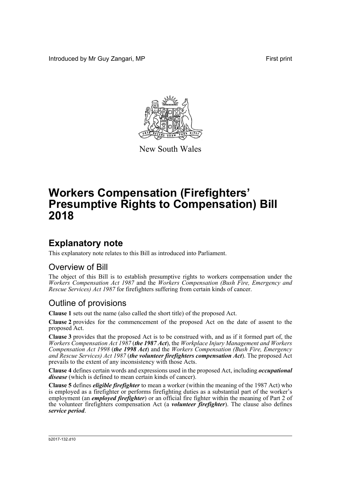Introduced by Mr Guy Zangari, MP **First** print



New South Wales

# **Workers Compensation (Firefighters' Presumptive Rights to Compensation) Bill 2018**

## **Explanatory note**

This explanatory note relates to this Bill as introduced into Parliament.

#### Overview of Bill

The object of this Bill is to establish presumptive rights to workers compensation under the *Workers Compensation Act 1987* and the *Workers Compensation (Bush Fire, Emergency and Rescue Services) Act 1987* for firefighters suffering from certain kinds of cancer.

### Outline of provisions

**Clause 1** sets out the name (also called the short title) of the proposed Act.

**Clause 2** provides for the commencement of the proposed Act on the date of assent to the proposed Act.

**Clause 3** provides that the proposed Act is to be construed with, and as if it formed part of, the *Workers Compensation Act 1987* (*the 1987 Act*), the *Workplace Injury Management and Workers Compensation Act 1998* (*the 1998 Act*) and the *Workers Compensation (Bush Fire, Emergency and Rescue Services) Act 1987* (*the volunteer firefighters compensation Act*). The proposed Act prevails to the extent of any inconsistency with those Acts.

**Clause 4** defines certain words and expressions used in the proposed Act, including *occupational disease* (which is defined to mean certain kinds of cancer).

**Clause 5** defines *eligible firefighter* to mean a worker (within the meaning of the 1987 Act) who is employed as a firefighter or performs firefighting duties as a substantial part of the worker's employment (an *employed firefighter*) or an official fire fighter within the meaning of Part 2 of the volunteer firefighters compensation Act (a *volunteer firefighter*). The clause also defines *service period*.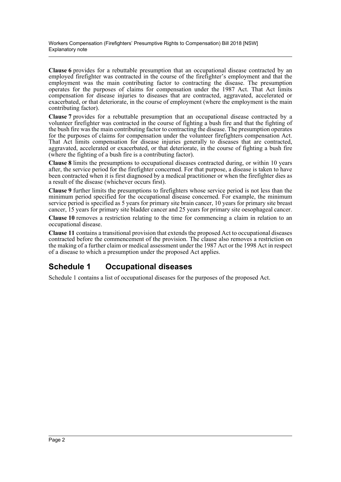**Clause 6** provides for a rebuttable presumption that an occupational disease contracted by an employed firefighter was contracted in the course of the firefighter's employment and that the employment was the main contributing factor to contracting the disease. The presumption operates for the purposes of claims for compensation under the 1987 Act. That Act limits compensation for disease injuries to diseases that are contracted, aggravated, accelerated or exacerbated, or that deteriorate, in the course of employment (where the employment is the main contributing factor).

**Clause 7** provides for a rebuttable presumption that an occupational disease contracted by a volunteer firefighter was contracted in the course of fighting a bush fire and that the fighting of the bush fire was the main contributing factor to contracting the disease. The presumption operates for the purposes of claims for compensation under the volunteer firefighters compensation Act. That Act limits compensation for disease injuries generally to diseases that are contracted, aggravated, accelerated or exacerbated, or that deteriorate, in the course of fighting a bush fire (where the fighting of a bush fire is a contributing factor).

**Clause 8** limits the presumptions to occupational diseases contracted during, or within 10 years after, the service period for the firefighter concerned. For that purpose, a disease is taken to have been contracted when it is first diagnosed by a medical practitioner or when the firefighter dies as a result of the disease (whichever occurs first).

**Clause 9** further limits the presumptions to firefighters whose service period is not less than the minimum period specified for the occupational disease concerned. For example, the minimum service period is specified as 5 years for primary site brain cancer, 10 years for primary site breast cancer, 15 years for primary site bladder cancer and 25 years for primary site oesophageal cancer.

**Clause 10** removes a restriction relating to the time for commencing a claim in relation to an occupational disease.

**Clause 11** contains a transitional provision that extends the proposed Act to occupational diseases contracted before the commencement of the provision. The clause also removes a restriction on the making of a further claim or medical assessment under the 1987 Act or the 1998 Act in respect of a disease to which a presumption under the proposed Act applies.

### **Schedule 1 Occupational diseases**

Schedule 1 contains a list of occupational diseases for the purposes of the proposed Act.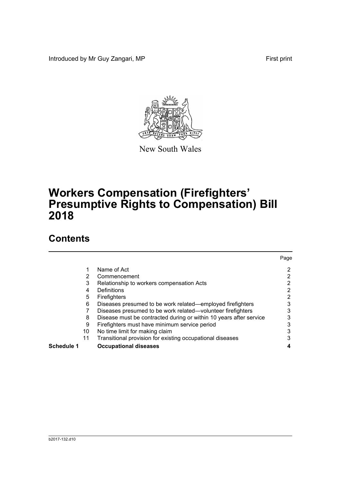Introduced by Mr Guy Zangari, MP **First** print



New South Wales

# **Workers Compensation (Firefighters' Presumptive Rights to Compensation) Bill 2018**

## **Contents**

|            |                                                                    | Page           |
|------------|--------------------------------------------------------------------|----------------|
| 1          | Name of Act                                                        | 2              |
| 2          | Commencement                                                       | 2              |
| 3          | Relationship to workers compensation Acts                          | 2              |
| 4          | Definitions                                                        | $\overline{2}$ |
| 5          | Firefighters                                                       | 2              |
| 6          | Diseases presumed to be work related—employed firefighters         | 3              |
|            | Diseases presumed to be work related—volunteer firefighters        | 3              |
| 8          | Disease must be contracted during or within 10 years after service | 3              |
| 9          | Firefighters must have minimum service period                      | 3              |
| 10         | No time limit for making claim                                     | 3              |
| 11         | Transitional provision for existing occupational diseases          | 3              |
| Schedule 1 | <b>Occupational diseases</b>                                       | 4              |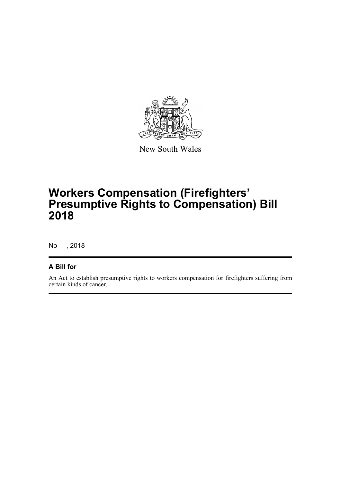

New South Wales

# **Workers Compensation (Firefighters' Presumptive Rights to Compensation) Bill 2018**

No , 2018

#### **A Bill for**

An Act to establish presumptive rights to workers compensation for firefighters suffering from certain kinds of cancer.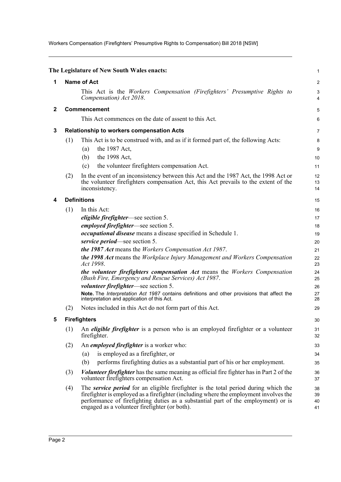Workers Compensation (Firefighters' Presumptive Rights to Compensation) Bill 2018 [NSW]

<span id="page-4-4"></span><span id="page-4-3"></span><span id="page-4-2"></span><span id="page-4-1"></span><span id="page-4-0"></span>

|              |                                                  | The Legislature of New South Wales enacts:                                                                                                                                                                                                                                                                         | 1                    |  |  |
|--------------|--------------------------------------------------|--------------------------------------------------------------------------------------------------------------------------------------------------------------------------------------------------------------------------------------------------------------------------------------------------------------------|----------------------|--|--|
| 1            |                                                  | <b>Name of Act</b>                                                                                                                                                                                                                                                                                                 |                      |  |  |
|              |                                                  | This Act is the Workers Compensation (Firefighters' Presumptive Rights to<br>Compensation) Act 2018.                                                                                                                                                                                                               | 3<br>4               |  |  |
| $\mathbf{2}$ |                                                  | Commencement                                                                                                                                                                                                                                                                                                       |                      |  |  |
|              |                                                  | This Act commences on the date of assent to this Act.                                                                                                                                                                                                                                                              | 6                    |  |  |
| 3            | <b>Relationship to workers compensation Acts</b> |                                                                                                                                                                                                                                                                                                                    |                      |  |  |
|              | (1)                                              | This Act is to be construed with, and as if it formed part of, the following Acts:                                                                                                                                                                                                                                 | 8                    |  |  |
|              |                                                  | the 1987 Act,<br>(a)                                                                                                                                                                                                                                                                                               | 9                    |  |  |
|              |                                                  | the 1998 Act,<br>(b)                                                                                                                                                                                                                                                                                               | 10                   |  |  |
|              |                                                  | the volunteer firefighters compensation Act.<br>(c)                                                                                                                                                                                                                                                                | 11                   |  |  |
|              | (2)                                              | In the event of an inconsistency between this Act and the 1987 Act, the 1998 Act or<br>the volunteer firefighters compensation Act, this Act prevails to the extent of the<br>inconsistency.                                                                                                                       | 12<br>13<br>14       |  |  |
|              | <b>Definitions</b>                               |                                                                                                                                                                                                                                                                                                                    |                      |  |  |
|              | (1)                                              | In this Act:                                                                                                                                                                                                                                                                                                       | 16                   |  |  |
|              |                                                  | <i>eligible firefighter</i> —see section 5.                                                                                                                                                                                                                                                                        | 17                   |  |  |
|              |                                                  | <i>employed firefighter</i> —see section 5.                                                                                                                                                                                                                                                                        | 18                   |  |  |
|              |                                                  | occupational disease means a disease specified in Schedule 1.                                                                                                                                                                                                                                                      | 19                   |  |  |
|              |                                                  | service period—see section 5.                                                                                                                                                                                                                                                                                      | 20                   |  |  |
|              |                                                  | the 1987 Act means the Workers Compensation Act 1987.                                                                                                                                                                                                                                                              | 21                   |  |  |
|              |                                                  | the 1998 Act means the Workplace Injury Management and Workers Compensation<br>Act 1998.                                                                                                                                                                                                                           | 22<br>23             |  |  |
|              |                                                  | the volunteer firefighters compensation Act means the Workers Compensation<br>(Bush Fire, Emergency and Rescue Services) Act 1987.                                                                                                                                                                                 | 24<br>25             |  |  |
|              |                                                  | <i>volunteer firefighter</i> —see section 5.                                                                                                                                                                                                                                                                       | 26                   |  |  |
|              |                                                  | Note. The Interpretation Act 1987 contains definitions and other provisions that affect the<br>interpretation and application of this Act.                                                                                                                                                                         | 27<br>28             |  |  |
|              | (2)                                              | Notes included in this Act do not form part of this Act.                                                                                                                                                                                                                                                           | 29                   |  |  |
|              |                                                  | <b>Firefighters</b>                                                                                                                                                                                                                                                                                                | $30\,$               |  |  |
|              | (1)                                              | An <i>eligible firefighter</i> is a person who is an employed firefighter or a volunteer<br>firefighter.                                                                                                                                                                                                           | 31<br>32             |  |  |
|              | (2)                                              | An <i>employed firefighter</i> is a worker who:                                                                                                                                                                                                                                                                    | 33                   |  |  |
|              |                                                  | is employed as a firefighter, or<br>(a)                                                                                                                                                                                                                                                                            | 34                   |  |  |
|              |                                                  | (b)<br>performs firefighting duties as a substantial part of his or her employment.                                                                                                                                                                                                                                | 35                   |  |  |
|              | (3)                                              | <i>Volunteer firefighter</i> has the same meaning as official fire fighter has in Part 2 of the<br>volunteer firefighters compensation Act.                                                                                                                                                                        | 36<br>37             |  |  |
|              | (4)                                              | The service period for an eligible firefighter is the total period during which the<br>firefighter is employed as a firefighter (including where the employment involves the<br>performance of firefighting duties as a substantial part of the employment) or is<br>engaged as a volunteer firefighter (or both). | 38<br>39<br>40<br>41 |  |  |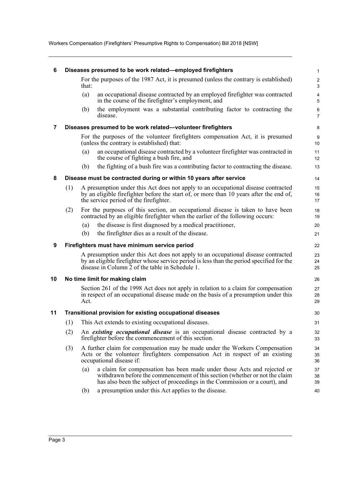Workers Compensation (Firefighters' Presumptive Rights to Compensation) Bill 2018 [NSW]

<span id="page-5-5"></span><span id="page-5-4"></span><span id="page-5-3"></span><span id="page-5-2"></span><span id="page-5-1"></span><span id="page-5-0"></span>

| 6  | Diseases presumed to be work related-employed firefighters                                                                    |       |                                                                                                                                                                                                                                       | $\mathbf{1}$                          |
|----|-------------------------------------------------------------------------------------------------------------------------------|-------|---------------------------------------------------------------------------------------------------------------------------------------------------------------------------------------------------------------------------------------|---------------------------------------|
|    |                                                                                                                               | that: | For the purposes of the 1987 Act, it is presumed (unless the contrary is established)                                                                                                                                                 | $\overline{c}$<br>$\mathfrak{Z}$      |
|    |                                                                                                                               | (a)   | an occupational disease contracted by an employed firefighter was contracted<br>in the course of the firefighter's employment, and                                                                                                    | $\overline{\mathbf{4}}$<br>$\sqrt{5}$ |
|    |                                                                                                                               | (b)   | the employment was a substantial contributing factor to contracting the<br>disease.                                                                                                                                                   | $\,6\,$<br>$\overline{7}$             |
| 7  |                                                                                                                               |       | Diseases presumed to be work related-volunteer firefighters                                                                                                                                                                           | 8                                     |
|    | For the purposes of the volunteer firefighters compensation Act, it is presumed<br>(unless the contrary is established) that: |       |                                                                                                                                                                                                                                       | 9<br>10                               |
|    |                                                                                                                               | (a)   | an occupational disease contracted by a volunteer firefighter was contracted in<br>the course of fighting a bush fire, and                                                                                                            | 11<br>12                              |
|    |                                                                                                                               | (b)   | the fighting of a bush fire was a contributing factor to contracting the disease.                                                                                                                                                     | 13                                    |
| 8  | Disease must be contracted during or within 10 years after service                                                            |       |                                                                                                                                                                                                                                       | 14                                    |
|    | (1)                                                                                                                           |       | A presumption under this Act does not apply to an occupational disease contracted<br>by an eligible firefighter before the start of, or more than 10 years after the end of,<br>the service period of the firefighter.                | 15<br>16<br>17                        |
|    | (2)                                                                                                                           |       | For the purposes of this section, an occupational disease is taken to have been<br>contracted by an eligible firefighter when the earlier of the following occurs:                                                                    | 18<br>19                              |
|    |                                                                                                                               | (a)   | the disease is first diagnosed by a medical practitioner,                                                                                                                                                                             | 20                                    |
|    |                                                                                                                               | (b)   | the firefighter dies as a result of the disease.                                                                                                                                                                                      | 21                                    |
| 9  | Firefighters must have minimum service period                                                                                 |       |                                                                                                                                                                                                                                       | 22                                    |
|    |                                                                                                                               |       | A presumption under this Act does not apply to an occupational disease contracted<br>by an eligible firefighter whose service period is less than the period specified for the<br>disease in Column 2 of the table in Schedule 1.     | 23<br>24<br>25                        |
| 10 | No time limit for making claim                                                                                                |       |                                                                                                                                                                                                                                       | 26                                    |
|    |                                                                                                                               | Act.  | Section 261 of the 1998 Act does not apply in relation to a claim for compensation<br>in respect of an occupational disease made on the basis of a presumption under this                                                             | 27<br>28<br>29                        |
| 11 |                                                                                                                               |       | <b>Transitional provision for existing occupational diseases</b>                                                                                                                                                                      | 30                                    |
|    |                                                                                                                               |       | (1) This Act extends to existing occupational diseases.                                                                                                                                                                               | 31                                    |
|    | (2)                                                                                                                           |       | An existing occupational disease is an occupational disease contracted by a<br>fire fighter before the commencement of this section.                                                                                                  | 32<br>33                              |
|    | (3)                                                                                                                           |       | A further claim for compensation may be made under the Workers Compensation<br>Acts or the volunteer firefighters compensation Act in respect of an existing<br>occupational disease if:                                              | 34<br>35<br>36                        |
|    |                                                                                                                               | (a)   | a claim for compensation has been made under those Acts and rejected or<br>withdrawn before the commencement of this section (whether or not the claim<br>has also been the subject of proceedings in the Commission or a court), and | 37<br>38<br>39                        |
|    |                                                                                                                               | (b)   | a presumption under this Act applies to the disease.                                                                                                                                                                                  | 40                                    |